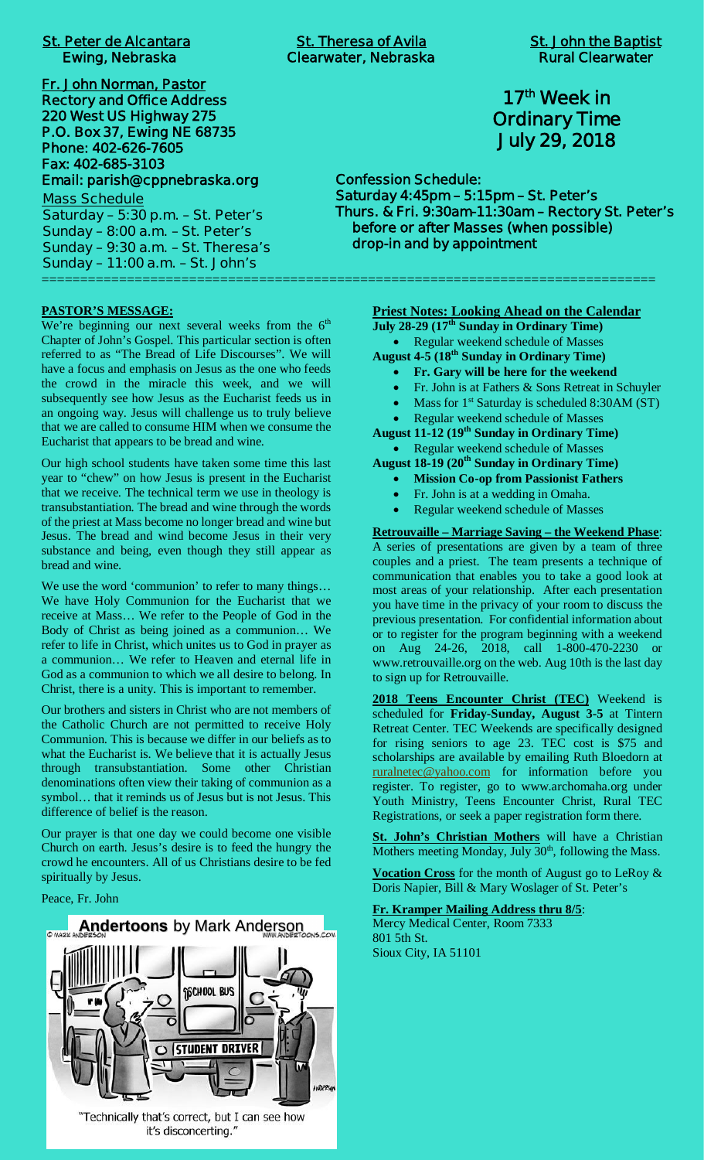| <b>St. Peter de Alcantara</b><br><b>Ewing, Nebraska</b> |
|---------------------------------------------------------|
| Fr. John Norman, Pastor                                 |
| <b>Rectory and Office Address</b>                       |
| 220 West US Highway 275                                 |
| P.O. Box 37, Ewing NE 68735                             |
| Phone: 402-626-7605                                     |
| Fax: 402-685-3103                                       |
| Email: parish@cppnebraska.org                           |
| <b>Mass Schedule</b>                                    |
| Saturday - 5:30 p.m. - St. Peter's                      |
| Sunday - 8:00 a.m. - St. Peter's                        |
| Sunday - 9:30 a.m. - St. Theresa's                      |
| Sunday - 11:00 a.m. - St. John's                        |

**St. Theresa of Avila St. John the Baptist Clearwater, Nebraska Rural Clearwater** 

# **17th Week in Ordinary Time July 29, 2018**

**Confession Schedule: Saturday 4:45pm – 5:15pm – St. Peter's Thurs. & Fri. 9:30am-11:30am – Rectory St. Peter's before or after Masses (when possible) drop-in and by appointment**

#### **PASTOR'S MESSAGE:**

We're beginning our next several weeks from the  $6<sup>th</sup>$ Chapter of John's Gospel. This particular section is often referred to as "The Bread of Life Discourses". We will have a focus and emphasis on Jesus as the one who feeds the crowd in the miracle this week, and we will subsequently see how Jesus as the Eucharist feeds us in an ongoing way. Jesus will challenge us to truly believe that we are called to consume HIM when we consume the Eucharist that appears to be bread and wine.

Our high school students have taken some time this last year to "chew" on how Jesus is present in the Eucharist that we receive. The technical term we use in theology is transubstantiation. The bread and wine through the words of the priest at Mass become no longer bread and wine but Jesus. The bread and wind become Jesus in their very substance and being, even though they still appear as bread and wine.

We use the word 'communion' to refer to many things... We have Holy Communion for the Eucharist that we receive at Mass… We refer to the People of God in the Body of Christ as being joined as a communion… We refer to life in Christ, which unites us to God in prayer as a communion… We refer to Heaven and eternal life in God as a communion to which we all desire to belong. In Christ, there is a unity. This is important to remember.

Our brothers and sisters in Christ who are not members of the Catholic Church are not permitted to receive Holy Communion. This is because we differ in our beliefs as to what the Eucharist is. We believe that it is actually Jesus through transubstantiation. Some other Christian denominations often view their taking of communion as a symbol… that it reminds us of Jesus but is not Jesus. This difference of belief is the reason.

Our prayer is that one day we could become one visible Church on earth. Jesus's desire is to feed the hungry the crowd he encounters. All of us Christians desire to be fed spiritually by Jesus.

Peace, Fr. John



"Technically that's correct, but I can see how it's disconcerting."

**Priest Notes: Looking Ahead on the Calendar**

**July 28-29 (17th Sunday in Ordinary Time)**

===============================================================================

· Regular weekend schedule of Masses **August 4-5 (18th Sunday in Ordinary Time)**

- · **Fr. Gary will be here for the weekend**
- Fr. John is at Fathers & Sons Retreat in Schuyler
- Mass for  $1<sup>st</sup>$  Saturday is scheduled 8:30AM (ST)
- Regular weekend schedule of Masses

**August 11-12 (19th Sunday in Ordinary Time)** · Regular weekend schedule of Masses

**August 18-19 (20th Sunday in Ordinary Time)**

- **Mission Co-op from Passionist Fathers**
- Fr. John is at a wedding in Omaha.
- Regular weekend schedule of Masses

**Retrouvaille – Marriage Saving – the Weekend Phase**: A series of presentations are given by a team of three couples and a priest. The team presents a technique of communication that enables you to take a good look at most areas of your relationship. After each presentation you have time in the privacy of your room to discuss the previous presentation. For confidential information about or to register for the program beginning with a weekend on Aug 24-26, 2018, call 1-800-470-2230 www.retrouvaille.org on the web. Aug 10th is the last day to sign up for Retrouvaille.

**2018 Teens Encounter Christ (TEC)** Weekend is scheduled for **Friday-Sunday, August 3-5** at Tintern Retreat Center. TEC Weekends are specifically designed for rising seniors to age 23. TEC cost is \$75 and scholarships are available by emailing Ruth Bloedorn at ruralnetec@yahoo.com for information before you register. To register, go to www.archomaha.org under Youth Ministry, Teens Encounter Christ, Rural TEC Registrations, or seek a paper registration form there.

**St. John's Christian Mothers** will have a Christian Mothers meeting Monday, July  $30<sup>th</sup>$ , following the Mass.

**Vocation Cross** for the month of August go to LeRoy & Doris Napier, Bill & Mary Woslager of St. Peter's

#### **Fr. Kramper Mailing Address thru 8/5**:

Mercy Medical Center, Room 7333 801 5th St. Sioux City, IA 51101